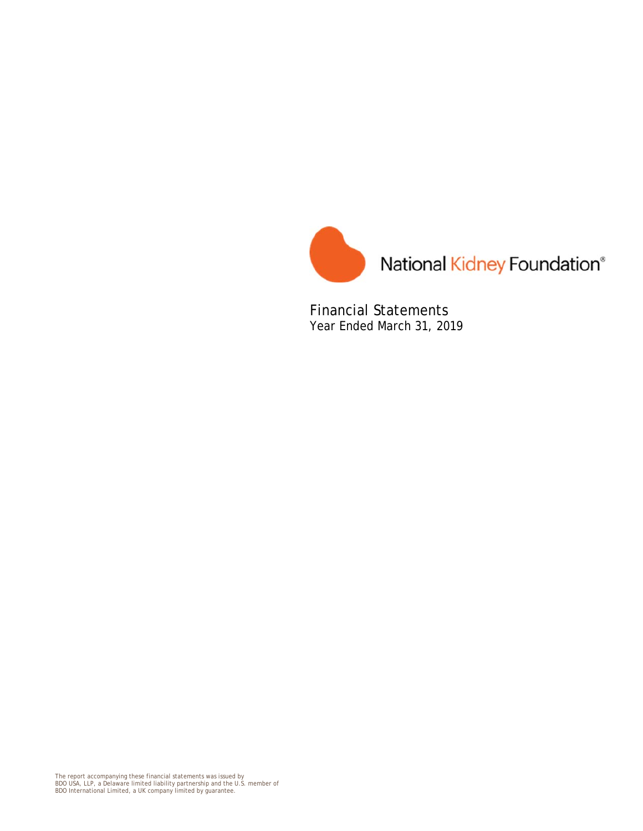

Financial Statements Year Ended March 31, 2019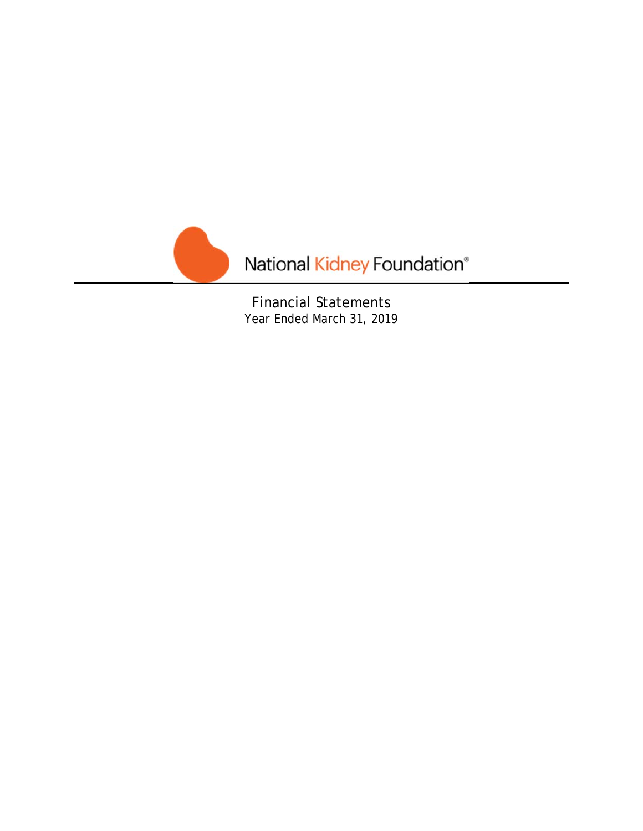

Financial Statements Year Ended March 31, 2019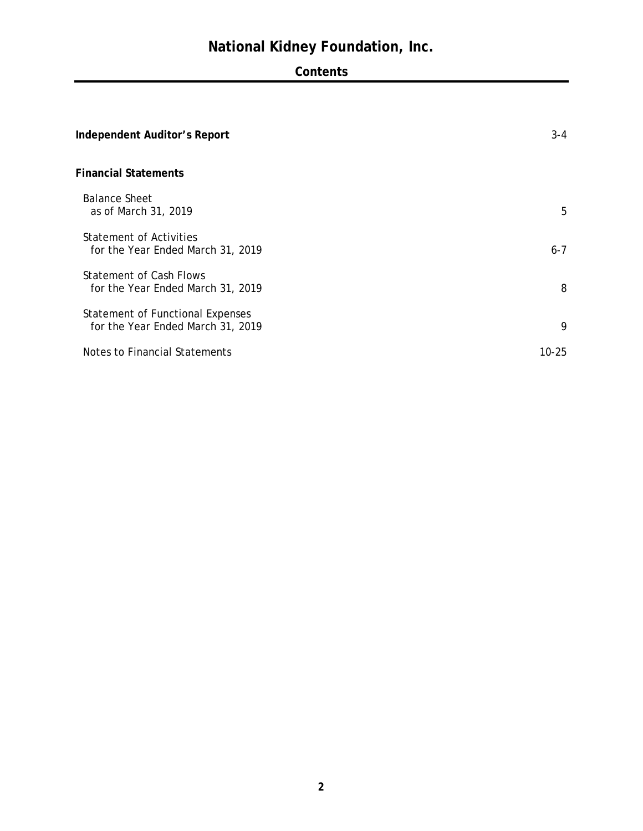# **Contents**

| Independent Auditor's Report                                          | $3 - 4$   |
|-----------------------------------------------------------------------|-----------|
| <b>Financial Statements</b>                                           |           |
| <b>Balance Sheet</b><br>as of March 31, 2019                          | 5         |
| Statement of Activities<br>for the Year Ended March 31, 2019          | $6 - 7$   |
| Statement of Cash Flows<br>for the Year Ended March 31, 2019          | 8         |
| Statement of Functional Expenses<br>for the Year Ended March 31, 2019 | 9         |
| Notes to Financial Statements                                         | $10 - 25$ |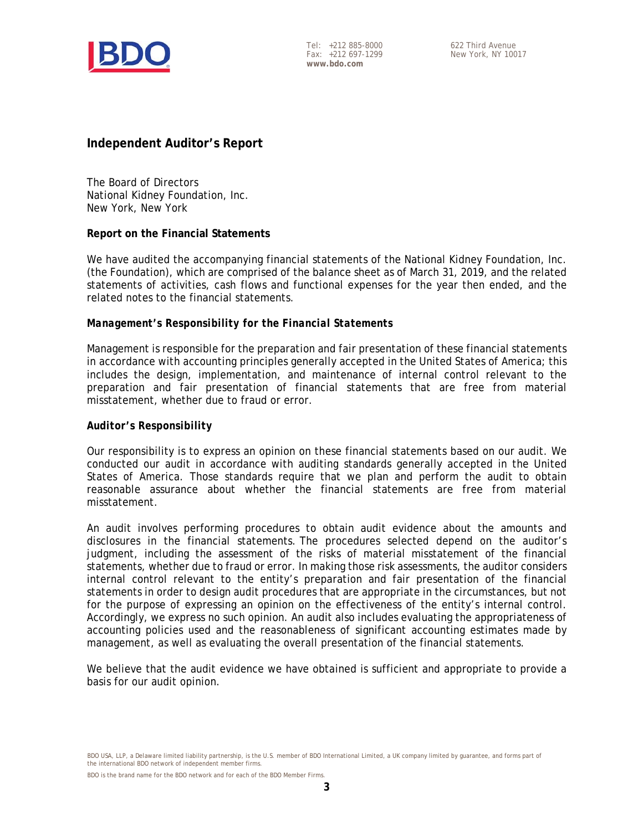

Tel: +212 885-8000 Fax: +212 697-1299 **www.bdo.com** 

# **Independent Auditor's Report**

The Board of Directors National Kidney Foundation, Inc. New York, New York

# **Report on the Financial Statements**

We have audited the accompanying financial statements of the National Kidney Foundation, Inc. (the Foundation), which are comprised of the balance sheet as of March 31, 2019, and the related statements of activities, cash flows and functional expenses for the year then ended, and the related notes to the financial statements.

# *Management's Responsibility for the Financial Statements*

Management is responsible for the preparation and fair presentation of these financial statements in accordance with accounting principles generally accepted in the United States of America; this includes the design, implementation, and maintenance of internal control relevant to the preparation and fair presentation of financial statements that are free from material misstatement, whether due to fraud or error.

# *Auditor's Responsibility*

Our responsibility is to express an opinion on these financial statements based on our audit. We conducted our audit in accordance with auditing standards generally accepted in the United States of America. Those standards require that we plan and perform the audit to obtain reasonable assurance about whether the financial statements are free from material misstatement.

An audit involves performing procedures to obtain audit evidence about the amounts and disclosures in the financial statements. The procedures selected depend on the auditor's judgment, including the assessment of the risks of material misstatement of the financial statements, whether due to fraud or error. In making those risk assessments, the auditor considers internal control relevant to the entity's preparation and fair presentation of the financial statements in order to design audit procedures that are appropriate in the circumstances, but not for the purpose of expressing an opinion on the effectiveness of the entity's internal control. Accordingly, we express no such opinion. An audit also includes evaluating the appropriateness of accounting policies used and the reasonableness of significant accounting estimates made by management, as well as evaluating the overall presentation of the financial statements.

We believe that the audit evidence we have obtained is sufficient and appropriate to provide a basis for our audit opinion.

BDO USA, LLP, a Delaware limited liability partnership, is the U.S. member of BDO International Limited, a UK company limited by guarantee, and forms part of the international BDO network of independent member firms.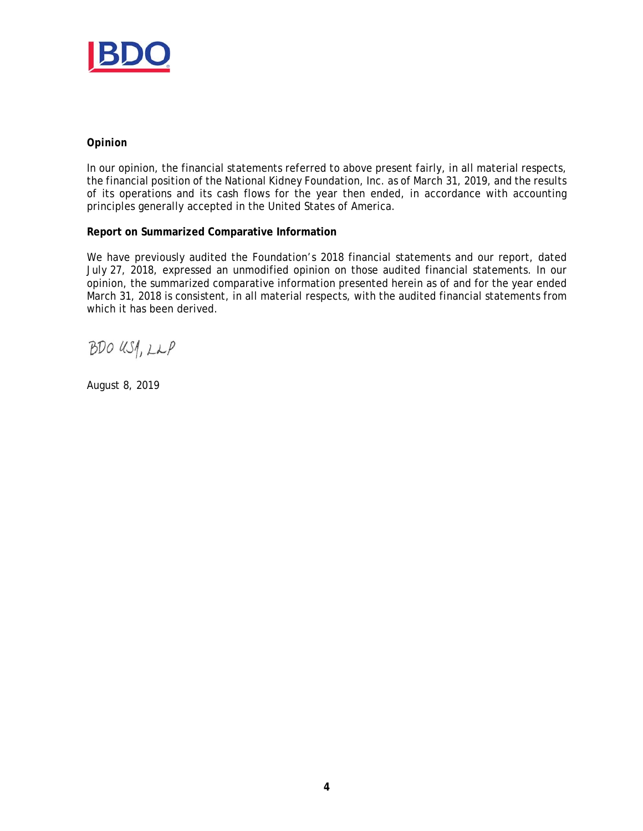

# *Opinion*

In our opinion, the financial statements referred to above present fairly, in all material respects, the financial position of the National Kidney Foundation, Inc. as of March 31, 2019, and the results of its operations and its cash flows for the year then ended, in accordance with accounting principles generally accepted in the United States of America.

# **Report on Summarized Comparative Information**

We have previously audited the Foundation's 2018 financial statements and our report, dated July 27, 2018, expressed an unmodified opinion on those audited financial statements. In our opinion, the summarized comparative information presented herein as of and for the year ended March 31, 2018 is consistent, in all material respects, with the audited financial statements from which it has been derived.

BDO USA, LLP

August 8, 2019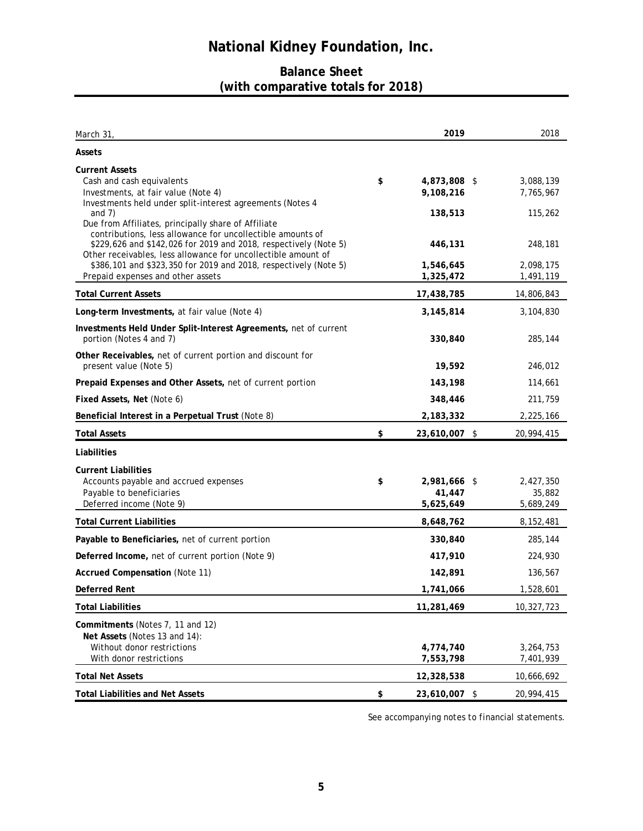# **Balance Sheet (with comparative totals for 2018)**

| March 31,                                                                                                                                                                                                                                                                                                                                                       | 2019                                       | 2018                              |
|-----------------------------------------------------------------------------------------------------------------------------------------------------------------------------------------------------------------------------------------------------------------------------------------------------------------------------------------------------------------|--------------------------------------------|-----------------------------------|
| Assets                                                                                                                                                                                                                                                                                                                                                          |                                            |                                   |
| <b>Current Assets</b><br>Cash and cash equivalents<br>Investments, at fair value (Note 4)<br>Investments held under split-interest agreements (Notes 4<br>and $7)$                                                                                                                                                                                              | \$<br>4,873,808 \$<br>9,108,216<br>138,513 | 3,088,139<br>7,765,967<br>115,262 |
| Due from Affiliates, principally share of Affiliate<br>contributions, less allowance for uncollectible amounts of<br>\$229,626 and \$142,026 for 2019 and 2018, respectively (Note 5)<br>Other receivables, less allowance for uncollectible amount of<br>\$386,101 and \$323,350 for 2019 and 2018, respectively (Note 5)<br>Prepaid expenses and other assets | 446,131<br>1,546,645<br>1,325,472          | 248,181<br>2,098,175<br>1,491,119 |
| <b>Total Current Assets</b>                                                                                                                                                                                                                                                                                                                                     | 17,438,785                                 | 14,806,843                        |
| Long-term Investments, at fair value (Note 4)                                                                                                                                                                                                                                                                                                                   | 3,145,814                                  | 3,104,830                         |
| Investments Held Under Split-Interest Agreements, net of current<br>portion (Notes 4 and 7)                                                                                                                                                                                                                                                                     | 330,840                                    | 285,144                           |
| Other Receivables, net of current portion and discount for<br>present value (Note 5)                                                                                                                                                                                                                                                                            | 19,592                                     | 246,012                           |
| Prepaid Expenses and Other Assets, net of current portion                                                                                                                                                                                                                                                                                                       | 143,198                                    | 114,661                           |
| Fixed Assets, Net (Note 6)                                                                                                                                                                                                                                                                                                                                      | 348,446                                    | 211,759                           |
| Beneficial Interest in a Perpetual Trust (Note 8)                                                                                                                                                                                                                                                                                                               | 2,183,332                                  | 2,225,166                         |
| <b>Total Assets</b>                                                                                                                                                                                                                                                                                                                                             | \$<br>23,610,007 \$                        | 20,994,415                        |
| Liabilities                                                                                                                                                                                                                                                                                                                                                     |                                            |                                   |
| <b>Current Liabilities</b><br>Accounts payable and accrued expenses<br>Payable to beneficiaries<br>Deferred income (Note 9)                                                                                                                                                                                                                                     | \$<br>2,981,666 \$<br>41,447<br>5,625,649  | 2,427,350<br>35,882<br>5,689,249  |
| <b>Total Current Liabilities</b>                                                                                                                                                                                                                                                                                                                                | 8,648,762                                  | 8,152,481                         |
| Payable to Beneficiaries, net of current portion                                                                                                                                                                                                                                                                                                                | 330,840                                    | 285,144                           |
| Deferred Income, net of current portion (Note 9)                                                                                                                                                                                                                                                                                                                | 417,910                                    | 224,930                           |
| <b>Accrued Compensation (Note 11)</b>                                                                                                                                                                                                                                                                                                                           | 142,891                                    | 136,567                           |
| Deferred Rent                                                                                                                                                                                                                                                                                                                                                   | 1,741,066                                  | 1,528,601                         |
| <b>Total Liabilities</b>                                                                                                                                                                                                                                                                                                                                        | 11,281,469                                 | 10,327,723                        |
| Commitments (Notes 7, 11 and 12)<br>Net Assets (Notes 13 and 14):<br>Without donor restrictions<br>With donor restrictions                                                                                                                                                                                                                                      | 4,774,740<br>7,553,798                     | 3,264,753<br>7,401,939            |
| <b>Total Net Assets</b>                                                                                                                                                                                                                                                                                                                                         | 12,328,538                                 | 10,666,692                        |
| <b>Total Liabilities and Net Assets</b>                                                                                                                                                                                                                                                                                                                         | \$<br>23,610,007 \$                        | 20,994,415                        |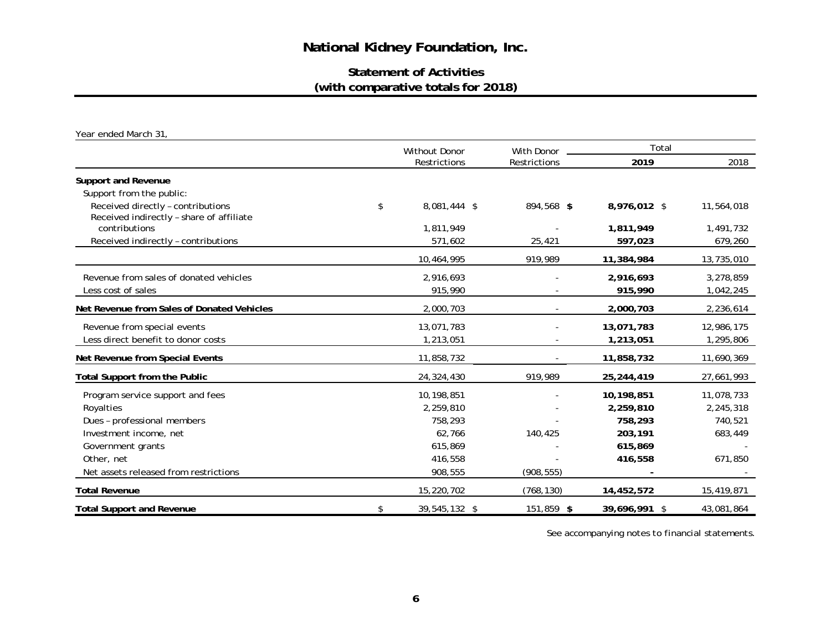# **Statement of Activities (with comparative totals for 2018)**

*Year ended March 31,* 

|                                                                               | <b>Without Donor</b> |                                   | Total         |            |  |
|-------------------------------------------------------------------------------|----------------------|-----------------------------------|---------------|------------|--|
|                                                                               | Restrictions         | <b>With Donor</b><br>Restrictions | 2019          | 2018       |  |
| <b>Support and Revenue</b>                                                    |                      |                                   |               |            |  |
| Support from the public:                                                      |                      |                                   |               |            |  |
| Received directly - contributions<br>Received indirectly - share of affiliate | \$<br>8,081,444 \$   | 894,568 \$                        | 8,976,012 \$  | 11,564,018 |  |
| contributions                                                                 | 1,811,949            |                                   | 1,811,949     | 1,491,732  |  |
| Received indirectly - contributions                                           | 571,602              | 25,421                            | 597,023       | 679,260    |  |
|                                                                               | 10,464,995           | 919,989                           | 11,384,984    | 13,735,010 |  |
| Revenue from sales of donated vehicles                                        | 2,916,693            |                                   | 2,916,693     | 3,278,859  |  |
| Less cost of sales                                                            | 915,990              |                                   | 915,990       | 1,042,245  |  |
| Net Revenue from Sales of Donated Vehicles                                    | 2,000,703            |                                   | 2,000,703     | 2,236,614  |  |
| Revenue from special events                                                   | 13,071,783           |                                   | 13,071,783    | 12,986,175 |  |
| Less direct benefit to donor costs                                            | 1,213,051            |                                   | 1,213,051     | 1,295,806  |  |
| Net Revenue from Special Events                                               | 11,858,732           |                                   | 11,858,732    | 11,690,369 |  |
| <b>Total Support from the Public</b>                                          | 24,324,430           | 919,989                           | 25,244,419    | 27,661,993 |  |
| Program service support and fees                                              | 10,198,851           |                                   | 10,198,851    | 11,078,733 |  |
| Royalties                                                                     | 2,259,810            |                                   | 2,259,810     | 2,245,318  |  |
| Dues - professional members                                                   | 758,293              |                                   | 758,293       | 740,521    |  |
| Investment income, net                                                        | 62,766               | 140,425                           | 203,191       | 683,449    |  |
| Government grants                                                             | 615,869              |                                   | 615,869       |            |  |
| Other, net                                                                    | 416,558              |                                   | 416,558       | 671,850    |  |
| Net assets released from restrictions                                         | 908,555              | (908, 555)                        |               |            |  |
| <b>Total Revenue</b>                                                          | 15,220,702           | (768, 130)                        | 14,452,572    | 15,419,871 |  |
| <b>Total Support and Revenue</b>                                              | \$<br>39,545,132 \$  | 151,859 \$                        | 39,696,991 \$ | 43,081,864 |  |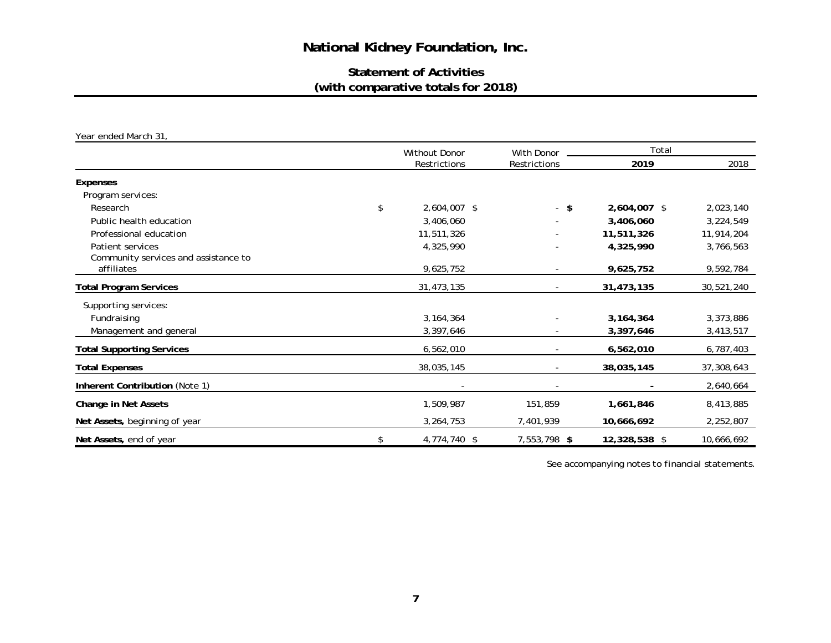# **Statement of Activities (with comparative totals for 2018)**

*Year ended March 31,* 

|                                      | <b>Without Donor</b> | With Donor   | Total         |            |  |
|--------------------------------------|----------------------|--------------|---------------|------------|--|
|                                      | Restrictions         | Restrictions | 2019          | 2018       |  |
| Expenses                             |                      |              |               |            |  |
| Program services:                    |                      |              |               |            |  |
| Research                             | \$<br>2,604,007 \$   | $-$ \$       | 2,604,007 \$  | 2,023,140  |  |
| Public health education              | 3,406,060            |              | 3,406,060     | 3,224,549  |  |
| Professional education               | 11,511,326           |              | 11,511,326    | 11,914,204 |  |
| Patient services                     | 4,325,990            |              | 4,325,990     | 3,766,563  |  |
| Community services and assistance to |                      |              |               |            |  |
| affiliates                           | 9,625,752            |              | 9,625,752     | 9,592,784  |  |
| <b>Total Program Services</b>        | 31,473,135           |              | 31,473,135    | 30,521,240 |  |
| Supporting services:                 |                      |              |               |            |  |
| Fundraising                          | 3, 164, 364          |              | 3, 164, 364   | 3,373,886  |  |
| Management and general               | 3,397,646            |              | 3,397,646     | 3,413,517  |  |
| <b>Total Supporting Services</b>     | 6,562,010            |              | 6,562,010     | 6,787,403  |  |
| <b>Total Expenses</b>                | 38,035,145           |              | 38,035,145    | 37,308,643 |  |
| Inherent Contribution (Note 1)       |                      |              |               | 2,640,664  |  |
| Change in Net Assets                 | 1,509,987            | 151,859      | 1,661,846     | 8,413,885  |  |
| Net Assets, beginning of year        | 3,264,753            | 7,401,939    | 10,666,692    | 2,252,807  |  |
| Net Assets, end of year              | \$<br>4,774,740 \$   | 7,553,798 \$ | 12,328,538 \$ | 10,666,692 |  |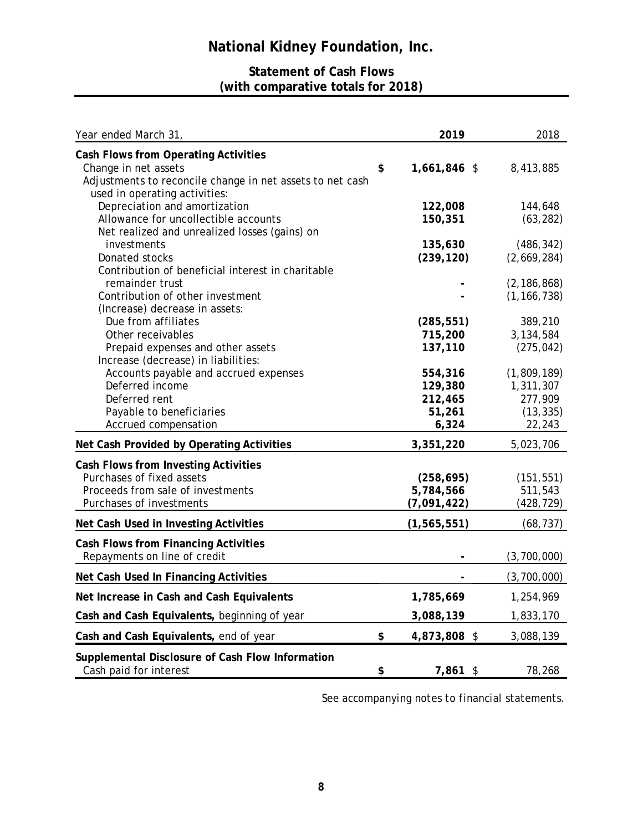# **Statement of Cash Flows (with comparative totals for 2018)**

| Year ended March 31,                                                                                                                                       | 2019                                             | 2018                                                       |
|------------------------------------------------------------------------------------------------------------------------------------------------------------|--------------------------------------------------|------------------------------------------------------------|
| Cash Flows from Operating Activities<br>Change in net assets<br>Adjustments to reconcile change in net assets to net cash<br>used in operating activities: | \$<br>1,661,846 \$                               | 8,413,885                                                  |
| Depreciation and amortization<br>Allowance for uncollectible accounts<br>Net realized and unrealized losses (gains) on                                     | 122,008<br>150,351                               | 144,648<br>(63, 282)                                       |
| investments<br>Donated stocks<br>Contribution of beneficial interest in charitable                                                                         | 135,630<br>(239, 120)                            | (486, 342)<br>(2,669,284)                                  |
| remainder trust<br>Contribution of other investment<br>(Increase) decrease in assets:                                                                      |                                                  | (2, 186, 868)<br>(1, 166, 738)                             |
| Due from affiliates<br>Other receivables<br>Prepaid expenses and other assets<br>Increase (decrease) in liabilities:                                       | (285, 551)<br>715,200<br>137,110                 | 389,210<br>3,134,584<br>(275, 042)                         |
| Accounts payable and accrued expenses<br>Deferred income<br>Deferred rent<br>Payable to beneficiaries<br>Accrued compensation                              | 554,316<br>129,380<br>212,465<br>51,261<br>6,324 | (1,809,189)<br>1,311,307<br>277,909<br>(13, 335)<br>22,243 |
| Net Cash Provided by Operating Activities                                                                                                                  | 3,351,220                                        | 5,023,706                                                  |
| Cash Flows from Investing Activities<br>Purchases of fixed assets<br>Proceeds from sale of investments<br>Purchases of investments                         | (258, 695)<br>5,784,566<br>(7,091,422)           | (151, 551)<br>511,543<br>(428, 729)                        |
| Net Cash Used in Investing Activities                                                                                                                      | (1, 565, 551)                                    | (68, 737)                                                  |
| <b>Cash Flows from Financing Activities</b><br>Repayments on line of credit                                                                                |                                                  | (3,700,000)                                                |
| Net Cash Used In Financing Activities                                                                                                                      |                                                  | (3,700,000)                                                |
| Net Increase in Cash and Cash Equivalents                                                                                                                  | 1,785,669                                        | 1,254,969                                                  |
| Cash and Cash Equivalents, beginning of year                                                                                                               | 3,088,139                                        | 1,833,170                                                  |
| Cash and Cash Equivalents, end of year                                                                                                                     | \$<br>4,873,808 \$                               | 3,088,139                                                  |
| Supplemental Disclosure of Cash Flow Information<br>Cash paid for interest                                                                                 | \$<br>7,861 \$                                   | 78,268                                                     |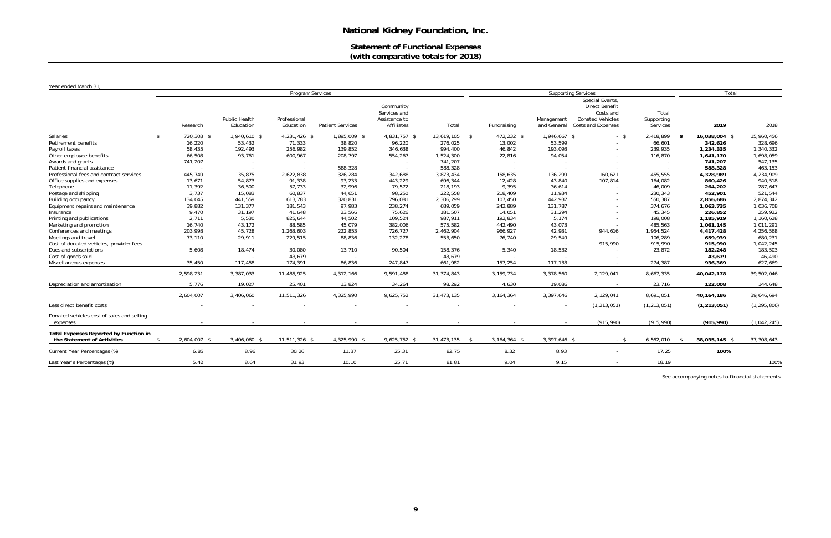# **Statement of Functional Expenses (with comparative totals for 2018)**

# *Year ended March 31,*

| rear ended March 31,                                                  | Program Services   |                            |                           |                         |                                                          |                  | <b>Supporting Services</b> |                           |                                                                                                               |                                 | Total         |               |
|-----------------------------------------------------------------------|--------------------|----------------------------|---------------------------|-------------------------|----------------------------------------------------------|------------------|----------------------------|---------------------------|---------------------------------------------------------------------------------------------------------------|---------------------------------|---------------|---------------|
|                                                                       | Research           | Public Health<br>Education | Professional<br>Education | <b>Patient Services</b> | Community<br>Services and<br>Assistance to<br>Affiliates | Total            | Fundraising                | Management<br>and General | Special Events,<br><b>Direct Benefit</b><br>Costs and<br><b>Donated Vehicles</b><br><b>Costs and Expenses</b> | Total<br>Supporting<br>Services | 2019          | 2018          |
| Salaries                                                              | 720,303 \$<br>\$   | 1,940,610 \$               | 4,231,426 \$              | 1,895,009 \$            | 4,831,757 \$                                             | 13,619,105<br>\$ | 472,232 \$                 | 1,946,667 \$              | $-5$                                                                                                          | 2,418,899<br>- \$               | 16,038,004 \$ | 15,960,456    |
| Retirement benefits                                                   | 16,220             | 53,432                     | 71,333                    | 38,820                  | 96,220                                                   | 276,025          | 13,002                     | 53,599                    |                                                                                                               | 66,601                          | 342,626       | 328,696       |
| Payroll taxes                                                         | 58,435             | 192,493                    | 256,982                   | 139,852                 | 346,638                                                  | 994,400          | 46,842                     | 193,093                   |                                                                                                               | 239,935                         | 1,234,335     | 1,340,332     |
| Other employee benefits                                               | 66,508             | 93,761                     | 600,967                   | 208,797                 | 554,267                                                  | 1,524,300        | 22,816                     | 94,054                    |                                                                                                               | 116,870                         | 1,641,170     | 1,698,059     |
| Awards and grants                                                     | 741,207            |                            |                           |                         |                                                          | 741,207          |                            |                           |                                                                                                               |                                 | 741,207       | 547,135       |
| Patient financial assistance                                          |                    |                            |                           | 588,328                 |                                                          | 588,328          |                            |                           |                                                                                                               |                                 | 588,328       | 463,153       |
| Professional fees and contract services                               | 445,749            | 135,875                    | 2,622,838                 | 326,284                 | 342,688                                                  | 3,873,434        | 158,635                    | 136,299                   | 160,621                                                                                                       | 455,555                         | 4,328,989     | 4,234,909     |
| Office supplies and expenses                                          | 13,671             | 54,873                     | 91,338                    | 93,233                  | 443,229                                                  | 696,344          | 12,428                     | 43,840                    | 107,814                                                                                                       | 164,082                         | 860,426       | 940,518       |
| Telephone                                                             | 11,392             | 36,500                     | 57,733                    | 32,996                  | 79,572                                                   | 218,193          | 9,395                      | 36,614                    |                                                                                                               | 46,009                          | 264,202       | 287,647       |
| Postage and shipping                                                  | 3,737              | 15,083                     | 60,837                    | 44,651                  | 98,250                                                   | 222,558          | 218,409                    | 11,934                    |                                                                                                               | 230,343                         | 452,901       | 521,544       |
| Building occupancy                                                    | 134,045            | 441,559                    | 613,783                   | 320,831                 | 796,081                                                  | 2,306,299        | 107,450                    | 442,937                   |                                                                                                               | 550,387                         | 2,856,686     | 2,874,342     |
| Equipment repairs and maintenance                                     | 39,882             | 131,377                    | 181,543                   | 97,983                  | 238,274                                                  | 689,059          | 242,889                    | 131,787                   |                                                                                                               | 374,676                         | 1,063,735     | 1,036,708     |
| Insurance                                                             | 9,470              | 31,197                     | 41,648                    | 23,566                  | 75,626                                                   | 181,507          | 14,051                     | 31,294                    |                                                                                                               | 45,345                          | 226,852       | 259,922       |
| Printing and publications                                             | 2,711              | 5,530                      | 825,644                   | 44,502                  | 109,524                                                  | 987,911          | 192,834                    | 5,174                     |                                                                                                               | 198,008                         | 1,185,919     | 1,160,628     |
| Marketing and promotion                                               | 16,740             | 43,172                     | 88,585                    | 45,079                  | 382,006                                                  | 575,582          | 442,490                    | 43,073                    |                                                                                                               | 485,563                         | 1,061,145     | 1,011,291     |
| Conferences and meetings                                              | 203,993            | 45,728                     | 1,263,603                 | 222,853                 | 726,727                                                  | 2,462,904        | 966,927                    | 42,981                    | 944,616                                                                                                       | 1,954,524                       | 4,417,428     | 4,256,568     |
| Meetings and travel                                                   | 73,110             | 29,911                     | 229,515                   | 88,836                  | 132,278                                                  | 553,650          | 76,740                     | 29,549                    |                                                                                                               | 106,289                         | 659,939       | 680,231       |
| Cost of donated vehicles, provider fees                               |                    |                            |                           |                         |                                                          |                  |                            |                           | 915,990                                                                                                       | 915,990                         | 915,990       | 1,042,245     |
| Dues and subscriptions                                                | 5,608              | 18,474                     | 30,080                    | 13,710                  | 90,504                                                   | 158,376          | 5,340                      | 18,532                    |                                                                                                               | 23,872                          | 182,248       | 183,503       |
| Cost of goods sold                                                    |                    |                            | 43,679                    |                         |                                                          | 43,679           |                            |                           |                                                                                                               |                                 | 43,679        | 46,490        |
| Miscellaneous expenses                                                | 35,450             | 117,458                    | 174,391                   | 86,836                  | 247,847                                                  | 661,982          | 157,254                    | 117,133                   |                                                                                                               | 274,387                         | 936,369       | 627,669       |
|                                                                       | 2,598,231          | 3,387,033                  | 11,485,925                | 4,312,166               | 9,591,488                                                | 31,374,843       | 3, 159, 734                | 3,378,560                 | 2,129,041                                                                                                     | 8,667,335                       | 40,042,178    | 39,502,046    |
| Depreciation and amortization                                         | 5,776              | 19,027                     | 25,401                    | 13,824                  | 34,264                                                   | 98,292           | 4,630                      | 19,086                    |                                                                                                               | 23,716                          | 122,008       | 144,648       |
|                                                                       | 2,604,007          | 3,406,060                  | 11,511,326                | 4,325,990               | 9,625,752                                                | 31,473,135       | 3, 164, 364                | 3,397,646                 | 2,129,041                                                                                                     | 8,691,051                       | 40, 164, 186  | 39,646,694    |
| Less direct benefit costs                                             |                    |                            |                           |                         |                                                          |                  |                            | $\sim$                    | (1, 213, 051)                                                                                                 | (1, 213, 051)                   | (1, 213, 051) | (1, 295, 806) |
| Donated vehicles cost of sales and selling<br>expenses                |                    |                            |                           |                         |                                                          |                  |                            |                           | (915, 990)                                                                                                    | (915, 990)                      | (915, 990)    | (1,042,245)   |
| Total Expenses Reported by Function in<br>the Statement of Activities | 2,604,007 \$<br>\$ | 3,406,060 \$               | 11,511,326 \$             | 4,325,990 \$            | 9,625,752 \$                                             | 31,473,135 \$    | 3,164,364 \$               | 3,397,646 \$              | $-$ \$                                                                                                        | 6,562,010<br>$^{\circ}$         | 38,035,145 \$ | 37,308,643    |
| Current Year Percentages (%)                                          | 6.85               | 8.96                       | 30.26                     | 11.37                   | 25.31                                                    | 82.75            | 8.32                       | 8.93                      | $\sim$                                                                                                        | 17.25                           | 100%          |               |
| Last Year's Percentages (%)                                           | 5.42               | 8.64                       | 31.93                     | 10.10                   | 25.71                                                    | 81.81            | 9.04                       | 9.15                      | $\sim$                                                                                                        | 18.19                           |               | 100%          |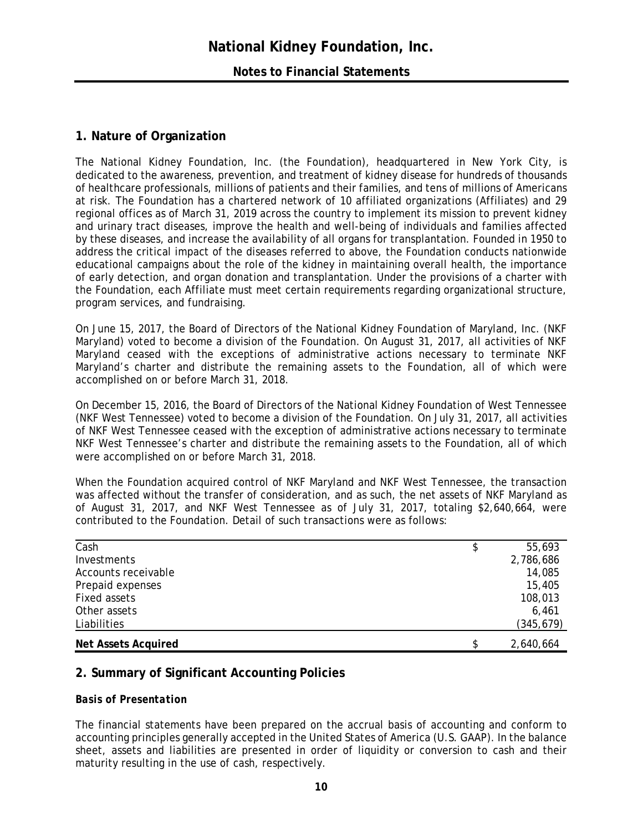# **Notes to Financial Statements**

# **1. Nature of Organization**

The National Kidney Foundation, Inc. (the Foundation), headquartered in New York City, is dedicated to the awareness, prevention, and treatment of kidney disease for hundreds of thousands of healthcare professionals, millions of patients and their families, and tens of millions of Americans at risk. The Foundation has a chartered network of 10 affiliated organizations (Affiliates) and 29 regional offices as of March 31, 2019 across the country to implement its mission to prevent kidney and urinary tract diseases, improve the health and well-being of individuals and families affected by these diseases, and increase the availability of all organs for transplantation. Founded in 1950 to address the critical impact of the diseases referred to above, the Foundation conducts nationwide educational campaigns about the role of the kidney in maintaining overall health, the importance of early detection, and organ donation and transplantation. Under the provisions of a charter with the Foundation, each Affiliate must meet certain requirements regarding organizational structure, program services, and fundraising.

On June 15, 2017, the Board of Directors of the National Kidney Foundation of Maryland, Inc. (NKF Maryland) voted to become a division of the Foundation. On August 31, 2017, all activities of NKF Maryland ceased with the exceptions of administrative actions necessary to terminate NKF Maryland's charter and distribute the remaining assets to the Foundation, all of which were accomplished on or before March 31, 2018.

On December 15, 2016, the Board of Directors of the National Kidney Foundation of West Tennessee (NKF West Tennessee) voted to become a division of the Foundation. On July 31, 2017, all activities of NKF West Tennessee ceased with the exception of administrative actions necessary to terminate NKF West Tennessee's charter and distribute the remaining assets to the Foundation, all of which were accomplished on or before March 31, 2018.

When the Foundation acquired control of NKF Maryland and NKF West Tennessee, the transaction was affected without the transfer of consideration, and as such, the net assets of NKF Maryland as of August 31, 2017, and NKF West Tennessee as of July 31, 2017, totaling \$2,640,664, were contributed to the Foundation. Detail of such transactions were as follows:

| Cash                       | \$<br>55,693    |
|----------------------------|-----------------|
| Investments                | 2,786,686       |
| Accounts receivable        | 14,085          |
| Prepaid expenses           | 15,405          |
| Fixed assets               | 108,013         |
| Other assets               | 6,461           |
| Liabilities                | (345, 679)      |
| <b>Net Assets Acquired</b> | \$<br>2,640,664 |

# **2. Summary of Significant Accounting Policies**

# *Basis of Presentation*

The financial statements have been prepared on the accrual basis of accounting and conform to accounting principles generally accepted in the United States of America (U.S. GAAP). In the balance sheet, assets and liabilities are presented in order of liquidity or conversion to cash and their maturity resulting in the use of cash, respectively.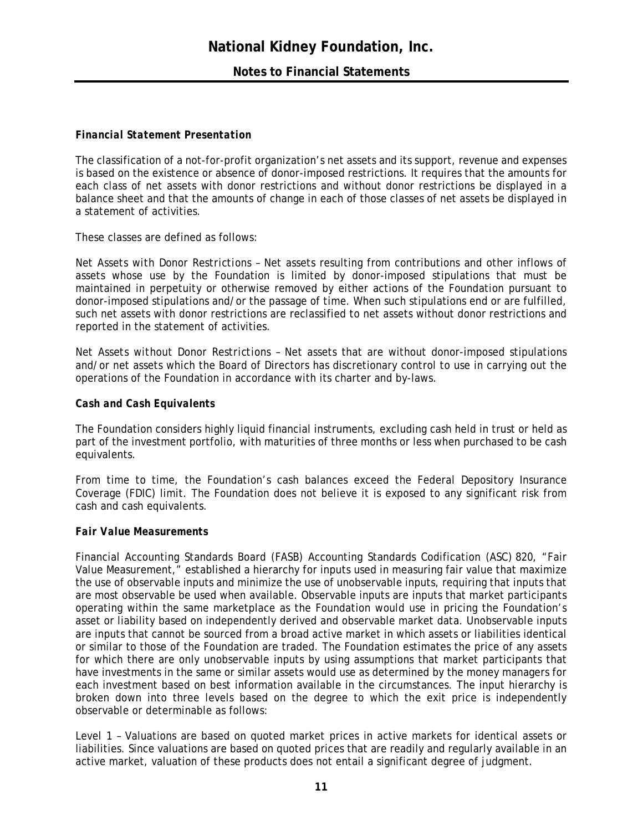# *Financial Statement Presentation*

The classification of a not-for-profit organization's net assets and its support, revenue and expenses is based on the existence or absence of donor-imposed restrictions. It requires that the amounts for each class of net assets with donor restrictions and without donor restrictions be displayed in a balance sheet and that the amounts of change in each of those classes of net assets be displayed in a statement of activities.

These classes are defined as follows:

*Net Assets with Donor Restrictions* – Net assets resulting from contributions and other inflows of assets whose use by the Foundation is limited by donor-imposed stipulations that must be maintained in perpetuity or otherwise removed by either actions of the Foundation pursuant to donor-imposed stipulations and/or the passage of time. When such stipulations end or are fulfilled, such net assets with donor restrictions are reclassified to net assets without donor restrictions and reported in the statement of activities.

*Net Assets without Donor Restrictions* – Net assets that are without donor-imposed stipulations and/or net assets which the Board of Directors has discretionary control to use in carrying out the operations of the Foundation in accordance with its charter and by-laws.

# *Cash and Cash Equivalents*

The Foundation considers highly liquid financial instruments, excluding cash held in trust or held as part of the investment portfolio, with maturities of three months or less when purchased to be cash equivalents.

From time to time, the Foundation's cash balances exceed the Federal Depository Insurance Coverage (FDIC) limit. The Foundation does not believe it is exposed to any significant risk from cash and cash equivalents.

# *Fair Value Measurements*

Financial Accounting Standards Board (FASB) Accounting Standards Codification (ASC) 820, "Fair Value Measurement," established a hierarchy for inputs used in measuring fair value that maximize the use of observable inputs and minimize the use of unobservable inputs, requiring that inputs that are most observable be used when available. Observable inputs are inputs that market participants operating within the same marketplace as the Foundation would use in pricing the Foundation's asset or liability based on independently derived and observable market data. Unobservable inputs are inputs that cannot be sourced from a broad active market in which assets or liabilities identical or similar to those of the Foundation are traded. The Foundation estimates the price of any assets for which there are only unobservable inputs by using assumptions that market participants that have investments in the same or similar assets would use as determined by the money managers for each investment based on best information available in the circumstances. The input hierarchy is broken down into three levels based on the degree to which the exit price is independently observable or determinable as follows:

*Level 1* – Valuations are based on quoted market prices in active markets for identical assets or liabilities. Since valuations are based on quoted prices that are readily and regularly available in an active market, valuation of these products does not entail a significant degree of judgment.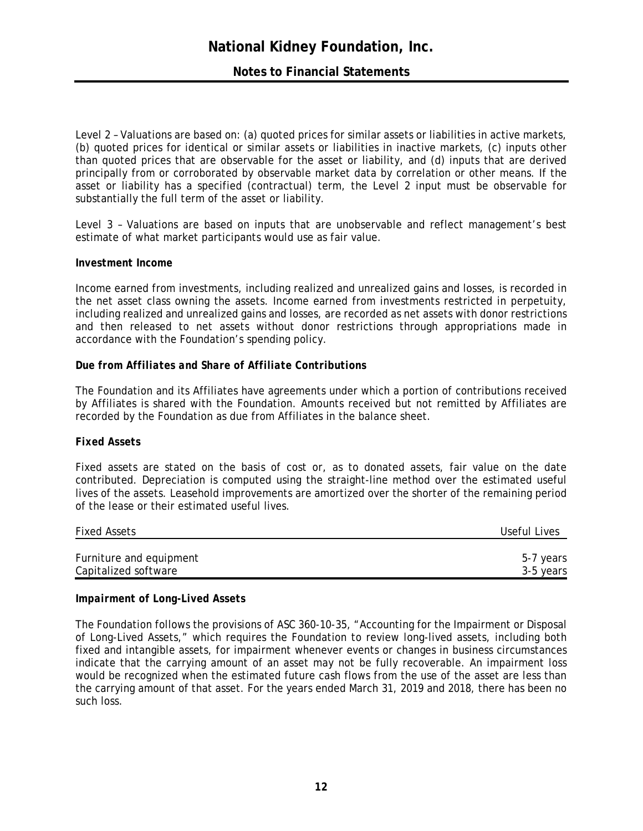# **Notes to Financial Statements**

*Level 2* – Valuations are based on: (a) quoted prices for similar assets or liabilities in active markets, (b) quoted prices for identical or similar assets or liabilities in inactive markets, (c) inputs other than quoted prices that are observable for the asset or liability, and (d) inputs that are derived principally from or corroborated by observable market data by correlation or other means. If the asset or liability has a specified (contractual) term, the Level 2 input must be observable for substantially the full term of the asset or liability.

*Level 3* – Valuations are based on inputs that are unobservable and reflect management's best estimate of what market participants would use as fair value.

# *Investment Income*

Income earned from investments, including realized and unrealized gains and losses, is recorded in the net asset class owning the assets. Income earned from investments restricted in perpetuity, including realized and unrealized gains and losses, are recorded as net assets with donor restrictions and then released to net assets without donor restrictions through appropriations made in accordance with the Foundation's spending policy.

#### *Due from Affiliates and Share of Affiliate Contributions*

The Foundation and its Affiliates have agreements under which a portion of contributions received by Affiliates is shared with the Foundation. Amounts received but not remitted by Affiliates are recorded by the Foundation as due from Affiliates in the balance sheet.

# *Fixed Assets*

Fixed assets are stated on the basis of cost or, as to donated assets, fair value on the date contributed. Depreciation is computed using the straight-line method over the estimated useful lives of the assets. Leasehold improvements are amortized over the shorter of the remaining period of the lease or their estimated useful lives.

| <b>Fixed Assets</b>     | Useful Lives |
|-------------------------|--------------|
| Furniture and equipment | 5-7 years    |
| Capitalized software    | 3-5 years    |

#### *Impairment of Long-Lived Assets*

The Foundation follows the provisions of ASC 360-10-35, "Accounting for the Impairment or Disposal of Long-Lived Assets," which requires the Foundation to review long-lived assets, including both fixed and intangible assets, for impairment whenever events or changes in business circumstances indicate that the carrying amount of an asset may not be fully recoverable. An impairment loss would be recognized when the estimated future cash flows from the use of the asset are less than the carrying amount of that asset. For the years ended March 31, 2019 and 2018, there has been no such loss.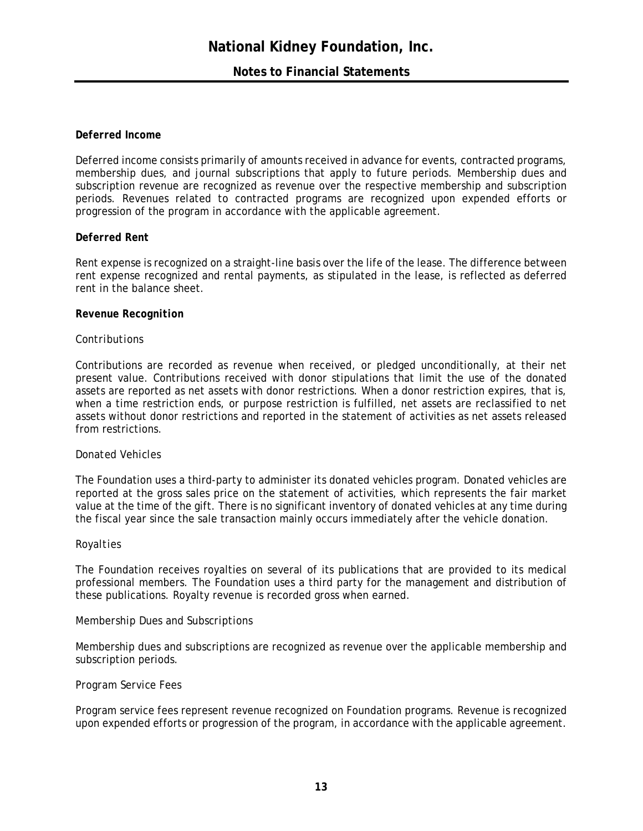# **Notes to Financial Statements**

# *Deferred Income*

Deferred income consists primarily of amounts received in advance for events, contracted programs, membership dues, and journal subscriptions that apply to future periods. Membership dues and subscription revenue are recognized as revenue over the respective membership and subscription periods. Revenues related to contracted programs are recognized upon expended efforts or progression of the program in accordance with the applicable agreement.

# *Deferred Rent*

Rent expense is recognized on a straight-line basis over the life of the lease. The difference between rent expense recognized and rental payments, as stipulated in the lease, is reflected as deferred rent in the balance sheet.

# *Revenue Recognition*

# *Contributions*

Contributions are recorded as revenue when received, or pledged unconditionally, at their net present value. Contributions received with donor stipulations that limit the use of the donated assets are reported as net assets with donor restrictions. When a donor restriction expires, that is, when a time restriction ends, or purpose restriction is fulfilled, net assets are reclassified to net assets without donor restrictions and reported in the statement of activities as net assets released from restrictions.

#### *Donated Vehicles*

The Foundation uses a third-party to administer its donated vehicles program. Donated vehicles are reported at the gross sales price on the statement of activities, which represents the fair market value at the time of the gift. There is no significant inventory of donated vehicles at any time during the fiscal year since the sale transaction mainly occurs immediately after the vehicle donation.

#### *Royalties*

The Foundation receives royalties on several of its publications that are provided to its medical professional members. The Foundation uses a third party for the management and distribution of these publications. Royalty revenue is recorded gross when earned.

# *Membership Dues and Subscriptions*

Membership dues and subscriptions are recognized as revenue over the applicable membership and subscription periods.

# *Program Service Fees*

Program service fees represent revenue recognized on Foundation programs. Revenue is recognized upon expended efforts or progression of the program, in accordance with the applicable agreement.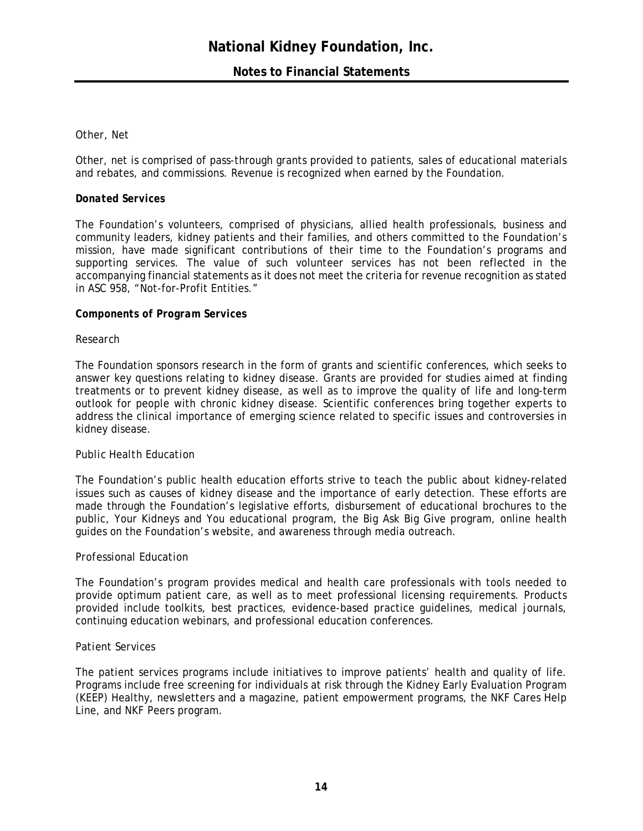# **Notes to Financial Statements**

#### *Other, Net*

Other, net is comprised of pass-through grants provided to patients, sales of educational materials and rebates, and commissions. Revenue is recognized when earned by the Foundation.

#### *Donated Services*

The Foundation's volunteers, comprised of physicians, allied health professionals, business and community leaders, kidney patients and their families, and others committed to the Foundation's mission, have made significant contributions of their time to the Foundation's programs and supporting services. The value of such volunteer services has not been reflected in the accompanying financial statements as it does not meet the criteria for revenue recognition as stated in ASC 958, "Not-for-Profit Entities."

#### *Components of Program Services*

#### *Research*

The Foundation sponsors research in the form of grants and scientific conferences, which seeks to answer key questions relating to kidney disease. Grants are provided for studies aimed at finding treatments or to prevent kidney disease, as well as to improve the quality of life and long-term outlook for people with chronic kidney disease. Scientific conferences bring together experts to address the clinical importance of emerging science related to specific issues and controversies in kidney disease.

#### *Public Health Education*

The Foundation's public health education efforts strive to teach the public about kidney-related issues such as causes of kidney disease and the importance of early detection. These efforts are made through the Foundation's legislative efforts, disbursement of educational brochures to the public, Your Kidneys and You educational program, the Big Ask Big Give program, online health guides on the Foundation's website, and awareness through media outreach.

#### *Professional Education*

The Foundation's program provides medical and health care professionals with tools needed to provide optimum patient care, as well as to meet professional licensing requirements. Products provided include toolkits, best practices, evidence-based practice guidelines, medical journals, continuing education webinars, and professional education conferences.

#### *Patient Services*

The patient services programs include initiatives to improve patients' health and quality of life. Programs include free screening for individuals at risk through the Kidney Early Evaluation Program (KEEP) Healthy, newsletters and a magazine, patient empowerment programs, the NKF Cares Help Line, and NKF Peers program.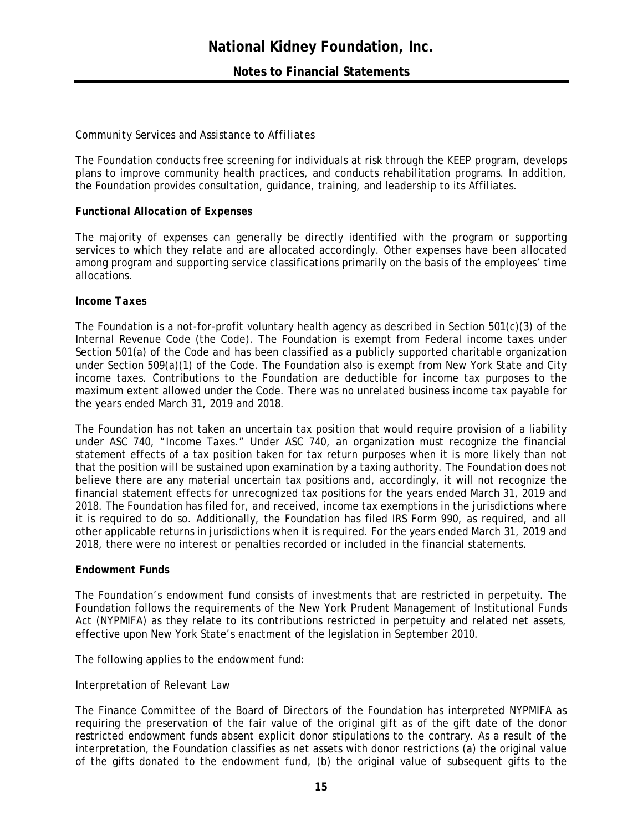# *Community Services and Assistance to Affiliates*

The Foundation conducts free screening for individuals at risk through the KEEP program, develops plans to improve community health practices, and conducts rehabilitation programs. In addition, the Foundation provides consultation, guidance, training, and leadership to its Affiliates.

# *Functional Allocation of Expenses*

The majority of expenses can generally be directly identified with the program or supporting services to which they relate and are allocated accordingly. Other expenses have been allocated among program and supporting service classifications primarily on the basis of the employees' time allocations.

#### *Income Taxes*

The Foundation is a not-for-profit voluntary health agency as described in Section 501(c)(3) of the Internal Revenue Code (the Code). The Foundation is exempt from Federal income taxes under Section 501(a) of the Code and has been classified as a publicly supported charitable organization under Section 509(a)(1) of the Code. The Foundation also is exempt from New York State and City income taxes. Contributions to the Foundation are deductible for income tax purposes to the maximum extent allowed under the Code. There was no unrelated business income tax payable for the years ended March 31, 2019 and 2018.

The Foundation has not taken an uncertain tax position that would require provision of a liability under ASC 740, "Income Taxes." Under ASC 740, an organization must recognize the financial statement effects of a tax position taken for tax return purposes when it is more likely than not that the position will be sustained upon examination by a taxing authority. The Foundation does not believe there are any material uncertain tax positions and, accordingly, it will not recognize the financial statement effects for unrecognized tax positions for the years ended March 31, 2019 and 2018. The Foundation has filed for, and received, income tax exemptions in the jurisdictions where it is required to do so. Additionally, the Foundation has filed IRS Form 990, as required, and all other applicable returns in jurisdictions when it is required. For the years ended March 31, 2019 and 2018, there were no interest or penalties recorded or included in the financial statements.

# *Endowment Funds*

The Foundation's endowment fund consists of investments that are restricted in perpetuity. The Foundation follows the requirements of the New York Prudent Management of Institutional Funds Act (NYPMIFA) as they relate to its contributions restricted in perpetuity and related net assets, effective upon New York State's enactment of the legislation in September 2010.

The following applies to the endowment fund:

# *Interpretation of Relevant Law*

The Finance Committee of the Board of Directors of the Foundation has interpreted NYPMIFA as requiring the preservation of the fair value of the original gift as of the gift date of the donor restricted endowment funds absent explicit donor stipulations to the contrary. As a result of the interpretation, the Foundation classifies as net assets with donor restrictions (a) the original value of the gifts donated to the endowment fund, (b) the original value of subsequent gifts to the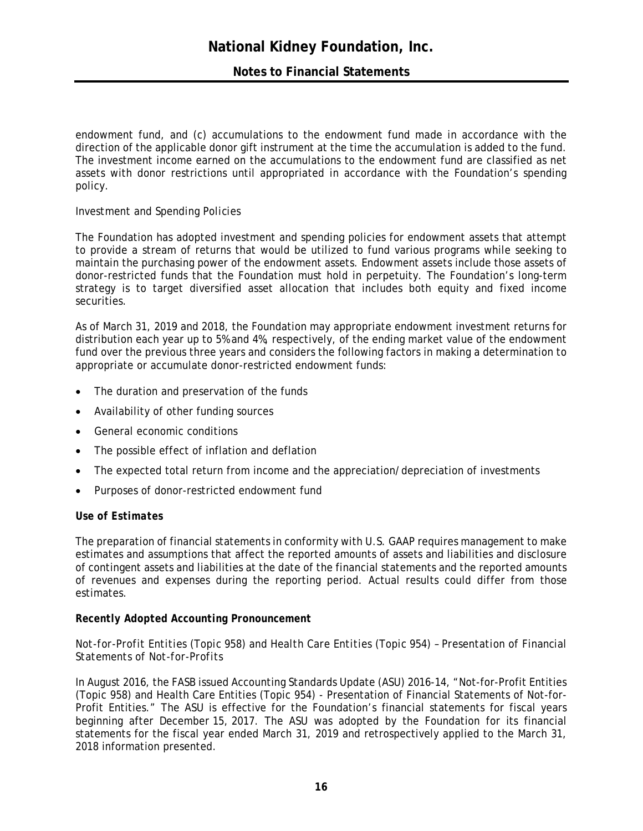# **Notes to Financial Statements**

endowment fund, and (c) accumulations to the endowment fund made in accordance with the direction of the applicable donor gift instrument at the time the accumulation is added to the fund. The investment income earned on the accumulations to the endowment fund are classified as net assets with donor restrictions until appropriated in accordance with the Foundation's spending policy.

# *Investment and Spending Policies*

The Foundation has adopted investment and spending policies for endowment assets that attempt to provide a stream of returns that would be utilized to fund various programs while seeking to maintain the purchasing power of the endowment assets. Endowment assets include those assets of donor-restricted funds that the Foundation must hold in perpetuity. The Foundation's long-term strategy is to target diversified asset allocation that includes both equity and fixed income securities.

As of March 31, 2019 and 2018, the Foundation may appropriate endowment investment returns for distribution each year up to 5% and 4%, respectively, of the ending market value of the endowment fund over the previous three years and considers the following factors in making a determination to appropriate or accumulate donor-restricted endowment funds:

- The duration and preservation of the funds
- Availability of other funding sources
- General economic conditions
- The possible effect of inflation and deflation
- The expected total return from income and the appreciation/depreciation of investments
- Purposes of donor-restricted endowment fund

# *Use of Estimates*

The preparation of financial statements in conformity with U.S. GAAP requires management to make estimates and assumptions that affect the reported amounts of assets and liabilities and disclosure of contingent assets and liabilities at the date of the financial statements and the reported amounts of revenues and expenses during the reporting period. Actual results could differ from those estimates.

# *Recently Adopted Accounting Pronouncement*

# *Not-for-Profit Entities (Topic 958) and Health Care Entities (Topic 954) – Presentation of Financial Statements of Not-for-Profits*

In August 2016, the FASB issued Accounting Standards Update (ASU) 2016-14, "Not-for-Profit Entities (Topic 958) and Health Care Entities (Topic 954) - Presentation of Financial Statements of Not-for-Profit Entities." The ASU is effective for the Foundation's financial statements for fiscal years beginning after December 15, 2017. The ASU was adopted by the Foundation for its financial statements for the fiscal year ended March 31, 2019 and retrospectively applied to the March 31, 2018 information presented.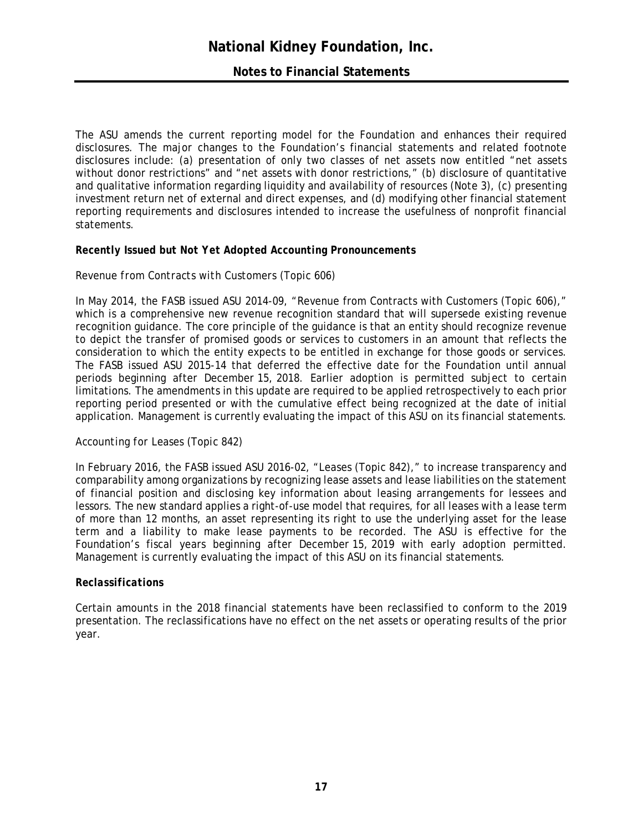# **Notes to Financial Statements**

The ASU amends the current reporting model for the Foundation and enhances their required disclosures. The major changes to the Foundation's financial statements and related footnote disclosures include: (a) presentation of only two classes of net assets now entitled "net assets without donor restrictions" and "net assets with donor restrictions," (b) disclosure of quantitative and qualitative information regarding liquidity and availability of resources (Note 3), (c) presenting investment return net of external and direct expenses, and (d) modifying other financial statement reporting requirements and disclosures intended to increase the usefulness of nonprofit financial statements.

# *Recently Issued but Not Yet Adopted Accounting Pronouncements*

# *Revenue from Contracts with Customers (Topic 606)*

In May 2014, the FASB issued ASU 2014-09, "Revenue from Contracts with Customers (Topic 606)," which is a comprehensive new revenue recognition standard that will supersede existing revenue recognition guidance. The core principle of the guidance is that an entity should recognize revenue to depict the transfer of promised goods or services to customers in an amount that reflects the consideration to which the entity expects to be entitled in exchange for those goods or services. The FASB issued ASU 2015-14 that deferred the effective date for the Foundation until annual periods beginning after December 15, 2018. Earlier adoption is permitted subject to certain limitations. The amendments in this update are required to be applied retrospectively to each prior reporting period presented or with the cumulative effect being recognized at the date of initial application. Management is currently evaluating the impact of this ASU on its financial statements.

# *Accounting for Leases (Topic 842)*

In February 2016, the FASB issued ASU 2016-02, "Leases (Topic 842)," to increase transparency and comparability among organizations by recognizing lease assets and lease liabilities on the statement of financial position and disclosing key information about leasing arrangements for lessees and lessors. The new standard applies a right-of-use model that requires, for all leases with a lease term of more than 12 months, an asset representing its right to use the underlying asset for the lease term and a liability to make lease payments to be recorded. The ASU is effective for the Foundation's fiscal years beginning after December 15, 2019 with early adoption permitted. Management is currently evaluating the impact of this ASU on its financial statements.

# *Reclassifications*

Certain amounts in the 2018 financial statements have been reclassified to conform to the 2019 presentation. The reclassifications have no effect on the net assets or operating results of the prior year.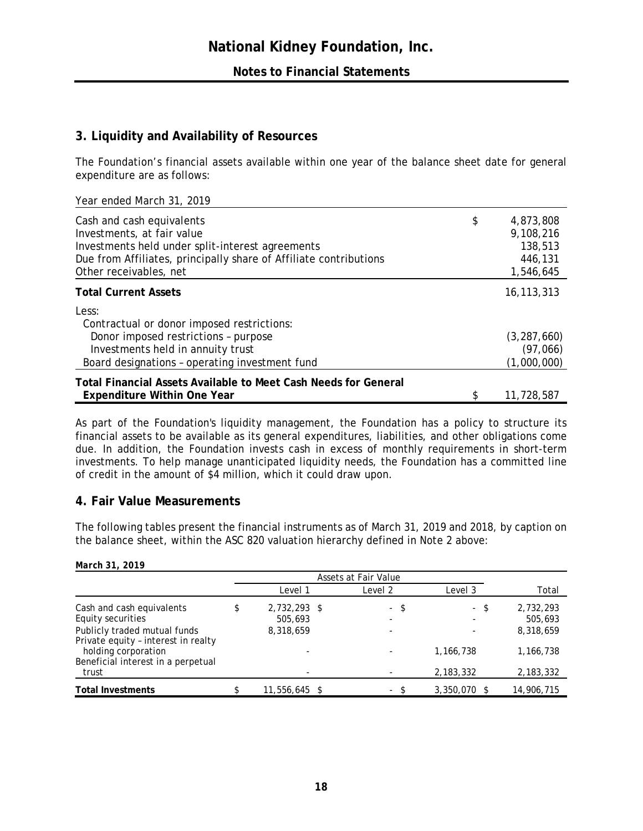# **3. Liquidity and Availability of Resources**

The Foundation's financial assets available within one year of the balance sheet date for general expenditure are as follows:

|  | Year ended March 31, 2019 |  |
|--|---------------------------|--|
|  |                           |  |

| Cash and cash equivalents<br>Investments, at fair value<br>Investments held under split-interest agreements<br>Due from Affiliates, principally share of Affiliate contributions<br>Other receivables, net | \$<br>4,873,808<br>9,108,216<br>138,513<br>446,131<br>1,546,645 |
|------------------------------------------------------------------------------------------------------------------------------------------------------------------------------------------------------------|-----------------------------------------------------------------|
| <b>Total Current Assets</b>                                                                                                                                                                                | 16, 113, 313                                                    |
| Less:<br>Contractual or donor imposed restrictions:                                                                                                                                                        |                                                                 |
| Donor imposed restrictions - purpose<br>Investments held in annuity trust<br>Board designations - operating investment fund                                                                                | (3, 287, 660)<br>(97,066)<br>(1,000,000)                        |
| <b>Total Financial Assets Available to Meet Cash Needs for General</b><br><b>Expenditure Within One Year</b>                                                                                               | 11,728,587                                                      |

As part of the Foundation's liquidity management, the Foundation has a policy to structure its financial assets to be available as its general expenditures, liabilities, and other obligations come due. In addition, the Foundation invests cash in excess of monthly requirements in short-term investments. To help manage unanticipated liquidity needs, the Foundation has a committed line of credit in the amount of \$4 million, which it could draw upon.

# **4. Fair Value Measurements**

The following tables present the financial instruments as of March 31, 2019 and 2018, by caption on the balance sheet, within the ASC 820 valuation hierarchy defined in Note 2 above:

| March 31, 2019                                                      |    |                         |  |                          |                |                      |
|---------------------------------------------------------------------|----|-------------------------|--|--------------------------|----------------|----------------------|
|                                                                     |    |                         |  | Assets at Fair Value     |                |                      |
|                                                                     |    | Level 1                 |  | Level 2                  | Level 3        | Total                |
| Cash and cash equivalents<br>Equity securities                      | \$ | 2,732,293 \$<br>505,693 |  | - \$                     | - \$           | 2,732,293<br>505,693 |
| Publicly traded mutual funds<br>Private equity - interest in realty |    | 8,318,659               |  |                          |                | 8,318,659            |
| holding corporation<br>Beneficial interest in a perpetual           |    |                         |  |                          | 1,166,738      | 1,166,738            |
| trust                                                               |    |                         |  |                          | 2, 183, 332    | 2,183,332            |
| <b>Total Investments</b>                                            |    | 11,556,645 \$           |  | $\overline{\phantom{0}}$ | $3,350,070$ \$ | 14,906,715           |

# **18**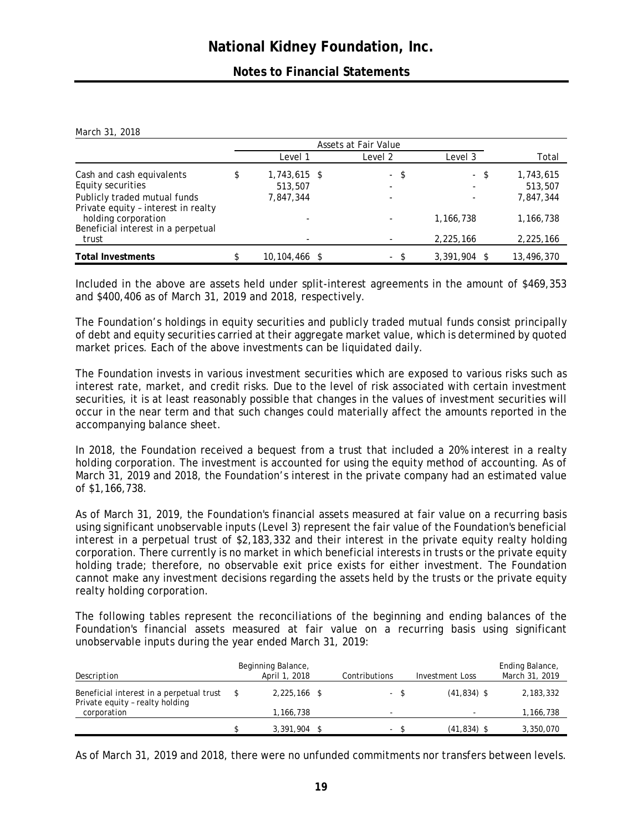# **Notes to Financial Statements**

| March 31, 2018 |  |
|----------------|--|
|                |  |

|                                                                     | Assets at Fair Value          |  |         |                        |                        |
|---------------------------------------------------------------------|-------------------------------|--|---------|------------------------|------------------------|
|                                                                     | Level 1                       |  | Level 2 | Level 3                | Total                  |
| Cash and cash equivalents<br>Equity securities                      | \$<br>1,743,615 \$<br>513,507 |  | - \$    | - \$<br>-              | 1,743,615<br>513,507   |
| Publicly traded mutual funds<br>Private equity - interest in realty | 7,847,344                     |  |         | ۰                      | 7,847,344              |
| holding corporation<br>Beneficial interest in a perpetual<br>trust  | ٠                             |  |         | 1,166,738<br>2,225,166 | 1,166,738<br>2,225,166 |
| <b>Total Investments</b>                                            | 10,104,466 \$                 |  | $\sim$  | 3,391,904              | 13,496,370             |

Included in the above are assets held under split-interest agreements in the amount of \$469,353 and \$400,406 as of March 31, 2019 and 2018, respectively.

The Foundation's holdings in equity securities and publicly traded mutual funds consist principally of debt and equity securities carried at their aggregate market value, which is determined by quoted market prices. Each of the above investments can be liquidated daily.

The Foundation invests in various investment securities which are exposed to various risks such as interest rate, market, and credit risks. Due to the level of risk associated with certain investment securities, it is at least reasonably possible that changes in the values of investment securities will occur in the near term and that such changes could materially affect the amounts reported in the accompanying balance sheet.

In 2018, the Foundation received a bequest from a trust that included a 20% interest in a realty holding corporation. The investment is accounted for using the equity method of accounting. As of March 31, 2019 and 2018, the Foundation's interest in the private company had an estimated value of \$1,166,738.

As of March 31, 2019, the Foundation's financial assets measured at fair value on a recurring basis using significant unobservable inputs (Level 3) represent the fair value of the Foundation's beneficial interest in a perpetual trust of \$2,183,332 and their interest in the private equity realty holding corporation. There currently is no market in which beneficial interests in trusts or the private equity holding trade; therefore, no observable exit price exists for either investment. The Foundation cannot make any investment decisions regarding the assets held by the trusts or the private equity realty holding corporation.

The following tables represent the reconciliations of the beginning and ending balances of the Foundation's financial assets measured at fair value on a recurring basis using significant unobservable inputs during the year ended March 31, 2019:

| Description                                                                 | Beginning Balance,<br>April 1, 2018 | Contributions | Investment Loss | Ending Balance,<br>March 31, 2019 |
|-----------------------------------------------------------------------------|-------------------------------------|---------------|-----------------|-----------------------------------|
| Beneficial interest in a perpetual trust<br>Private equity - realty holding | $2.225.166$ \$                      | - \$          | $(41, 834)$ \$  | 2,183,332                         |
| corporation                                                                 | 1,166,738                           |               |                 | 1,166,738                         |
|                                                                             | 3,391,904                           | ۰.            | $(41, 834)$ \$  | 3,350,070                         |

As of March 31, 2019 and 2018, there were no unfunded commitments nor transfers between levels.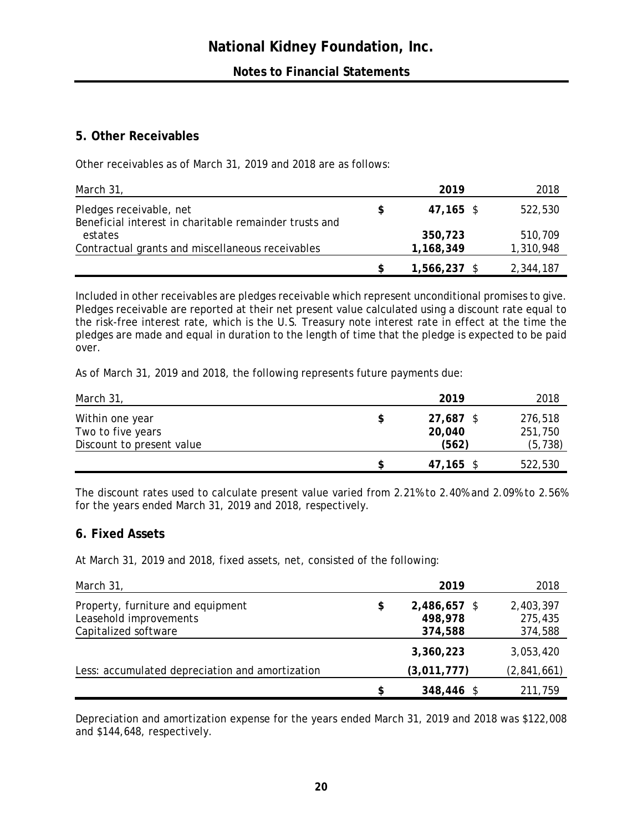# **5. Other Receivables**

Other receivables as of March 31, 2019 and 2018 are as follows:

| March 31,                                              |   | 2019         | 2018      |
|--------------------------------------------------------|---|--------------|-----------|
| Pledges receivable, net                                | S | 47,165 \$    | 522,530   |
| Beneficial interest in charitable remainder trusts and |   |              |           |
| estates                                                |   | 350,723      | 510,709   |
| Contractual grants and miscellaneous receivables       |   | 1,168,349    | 1,310,948 |
|                                                        |   | 1,566,237 \$ | 2,344,187 |

Included in other receivables are pledges receivable which represent unconditional promises to give. Pledges receivable are reported at their net present value calculated using a discount rate equal to the risk-free interest rate, which is the U.S. Treasury note interest rate in effect at the time the pledges are made and equal in duration to the length of time that the pledge is expected to be paid over.

As of March 31, 2019 and 2018, the following represents future payments due:

| March 31,                                                         |   | 2019                         | 2018                           |
|-------------------------------------------------------------------|---|------------------------------|--------------------------------|
| Within one year<br>Two to five years<br>Discount to present value | S | 27,687 \$<br>20,040<br>(562) | 276,518<br>251,750<br>(5, 738) |
|                                                                   |   | $47,165$ \$                  | 522,530                        |

The discount rates used to calculate present value varied from 2.21% to 2.40% and 2.09% to 2.56% for the years ended March 31, 2019 and 2018, respectively.

# **6. Fixed Assets**

At March 31, 2019 and 2018, fixed assets, net, consisted of the following:

| March 31,                                       | 2019               | 2018        |
|-------------------------------------------------|--------------------|-------------|
| Property, furniture and equipment               | \$<br>2,486,657 \$ | 2,403,397   |
| Leasehold improvements                          | 498,978            | 275,435     |
| Capitalized software                            | 374,588            | 374,588     |
|                                                 | 3,360,223          | 3,053,420   |
| Less: accumulated depreciation and amortization | (3,011,777)        | (2,841,661) |
|                                                 | \$<br>348,446 \$   | 211,759     |

Depreciation and amortization expense for the years ended March 31, 2019 and 2018 was \$122,008 and \$144,648, respectively.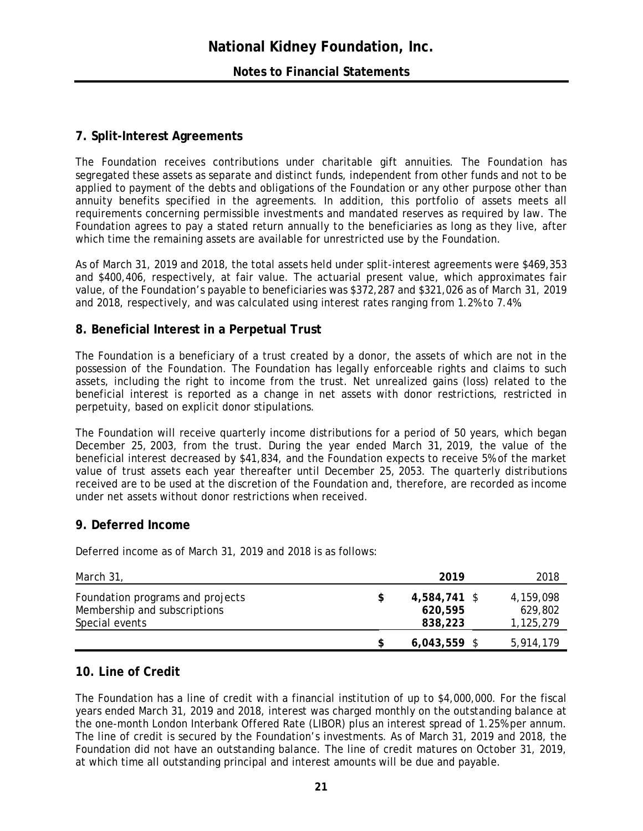# **7. Split-Interest Agreements**

The Foundation receives contributions under charitable gift annuities. The Foundation has segregated these assets as separate and distinct funds, independent from other funds and not to be applied to payment of the debts and obligations of the Foundation or any other purpose other than annuity benefits specified in the agreements. In addition, this portfolio of assets meets all requirements concerning permissible investments and mandated reserves as required by law. The Foundation agrees to pay a stated return annually to the beneficiaries as long as they live, after which time the remaining assets are available for unrestricted use by the Foundation.

As of March 31, 2019 and 2018, the total assets held under split-interest agreements were \$469,353 and \$400,406, respectively, at fair value. The actuarial present value, which approximates fair value, of the Foundation's payable to beneficiaries was \$372,287 and \$321,026 as of March 31, 2019 and 2018, respectively, and was calculated using interest rates ranging from 1.2% to 7.4%.

# **8. Beneficial Interest in a Perpetual Trust**

The Foundation is a beneficiary of a trust created by a donor, the assets of which are not in the possession of the Foundation. The Foundation has legally enforceable rights and claims to such assets, including the right to income from the trust. Net unrealized gains (loss) related to the beneficial interest is reported as a change in net assets with donor restrictions, restricted in perpetuity, based on explicit donor stipulations.

The Foundation will receive quarterly income distributions for a period of 50 years, which began December 25, 2003, from the trust. During the year ended March 31, 2019, the value of the beneficial interest decreased by \$41,834, and the Foundation expects to receive 5% of the market value of trust assets each year thereafter until December 25, 2053. The quarterly distributions received are to be used at the discretion of the Foundation and, therefore, are recorded as income under net assets without donor restrictions when received.

# **9. Deferred Income**

Deferred income as of March 31, 2019 and 2018 is as follows:

| March 31,                                                                          |   | 2019                               | 2018                              |
|------------------------------------------------------------------------------------|---|------------------------------------|-----------------------------------|
| Foundation programs and projects<br>Membership and subscriptions<br>Special events | S | 4,584,741 \$<br>620,595<br>838,223 | 4,159,098<br>629,802<br>1,125,279 |
|                                                                                    |   | $6,043,559$ \$                     | 5,914,179                         |

# **10. Line of Credit**

The Foundation has a line of credit with a financial institution of up to \$4,000,000. For the fiscal years ended March 31, 2019 and 2018, interest was charged monthly on the outstanding balance at the one-month London Interbank Offered Rate (LIBOR) plus an interest spread of 1.25% per annum. The line of credit is secured by the Foundation's investments. As of March 31, 2019 and 2018, the Foundation did not have an outstanding balance. The line of credit matures on October 31, 2019, at which time all outstanding principal and interest amounts will be due and payable.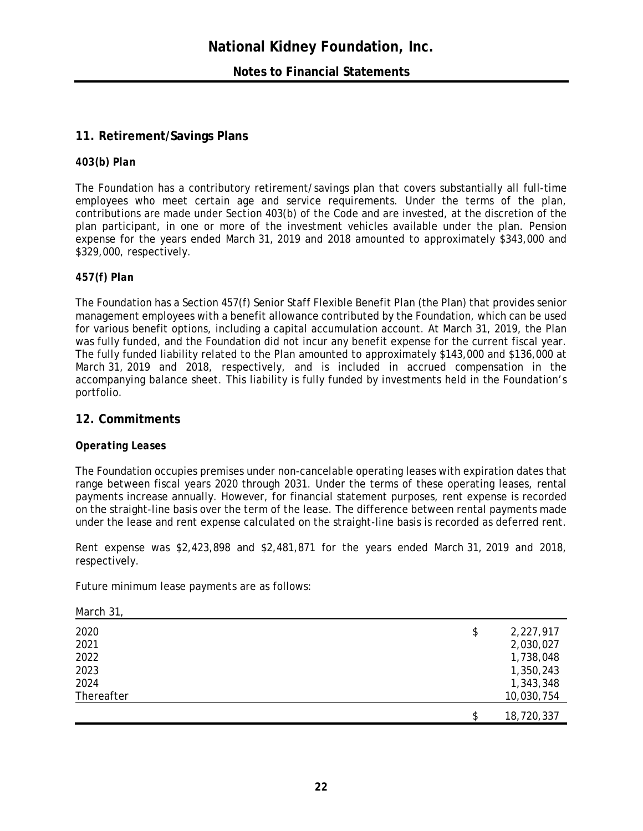# **11. Retirement/Savings Plans**

# *403(b) Plan*

The Foundation has a contributory retirement/savings plan that covers substantially all full-time employees who meet certain age and service requirements. Under the terms of the plan, contributions are made under Section 403(b) of the Code and are invested, at the discretion of the plan participant, in one or more of the investment vehicles available under the plan. Pension expense for the years ended March 31, 2019 and 2018 amounted to approximately \$343,000 and \$329,000, respectively.

# *457(f) Plan*

The Foundation has a Section 457(f) Senior Staff Flexible Benefit Plan (the Plan) that provides senior management employees with a benefit allowance contributed by the Foundation, which can be used for various benefit options, including a capital accumulation account. At March 31, 2019, the Plan was fully funded, and the Foundation did not incur any benefit expense for the current fiscal year. The fully funded liability related to the Plan amounted to approximately \$143,000 and \$136,000 at March 31, 2019 and 2018, respectively, and is included in accrued compensation in the accompanying balance sheet. This liability is fully funded by investments held in the Foundation's portfolio.

# **12. Commitments**

# *Operating Leases*

*March 31,* 

The Foundation occupies premises under non-cancelable operating leases with expiration dates that range between fiscal years 2020 through 2031. Under the terms of these operating leases, rental payments increase annually. However, for financial statement purposes, rent expense is recorded on the straight-line basis over the term of the lease. The difference between rental payments made under the lease and rent expense calculated on the straight-line basis is recorded as deferred rent.

Rent expense was \$2,423,898 and \$2,481,871 for the years ended March 31, 2019 and 2018, respectively.

Future minimum lease payments are as follows:

| \$<br>2,227,917  |
|------------------|
| 2,030,027        |
| 1,738,048        |
| 1,350,243        |
| 1,343,348        |
| 10,030,754       |
| \$<br>18,720,337 |
|                  |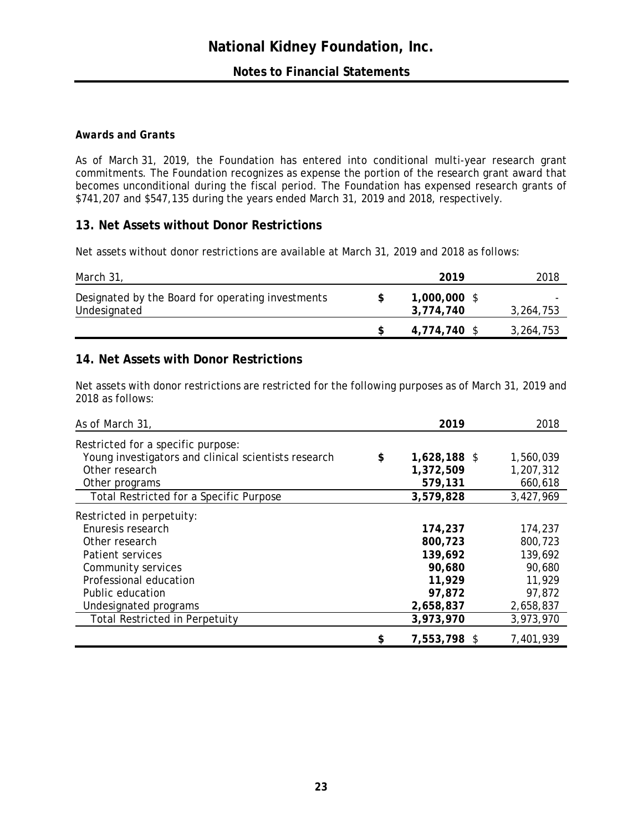# *Awards and Grants*

As of March 31, 2019, the Foundation has entered into conditional multi-year research grant commitments. The Foundation recognizes as expense the portion of the research grant award that becomes unconditional during the fiscal period. The Foundation has expensed research grants of \$741,207 and \$547,135 during the years ended March 31, 2019 and 2018, respectively.

# **13. Net Assets without Donor Restrictions**

Net assets without donor restrictions are available at March 31, 2019 and 2018 as follows:

| March 31,                                                         | 2019                      | 2018      |
|-------------------------------------------------------------------|---------------------------|-----------|
| Designated by the Board for operating investments<br>Undesignated | 1,000,000 \$<br>3,774,740 | 3,264,753 |
|                                                                   | 4,774,740 \$              | 3,264,753 |

# **14. Net Assets with Donor Restrictions**

Net assets with donor restrictions are restricted for the following purposes as of March 31, 2019 and 2018 as follows:

| As of March 31,                                      | 2019               | 2018      |
|------------------------------------------------------|--------------------|-----------|
| Restricted for a specific purpose:                   |                    |           |
| Young investigators and clinical scientists research | \$<br>1,628,188 \$ | 1,560,039 |
| Other research                                       | 1,372,509          | 1,207,312 |
| Other programs                                       | 579,131            | 660,618   |
| Total Restricted for a Specific Purpose              | 3,579,828          | 3,427,969 |
| Restricted in perpetuity:                            |                    |           |
| Enuresis research                                    | 174,237            | 174,237   |
| Other research                                       | 800,723            | 800,723   |
| Patient services                                     | 139,692            | 139,692   |
| Community services                                   | 90,680             | 90,680    |
| Professional education                               | 11,929             | 11,929    |
| Public education                                     | 97,872             | 97,872    |
| Undesignated programs                                | 2,658,837          | 2,658,837 |
| <b>Total Restricted in Perpetuity</b>                | 3,973,970          | 3,973,970 |
|                                                      | \$<br>7,553,798 \$ | 7,401,939 |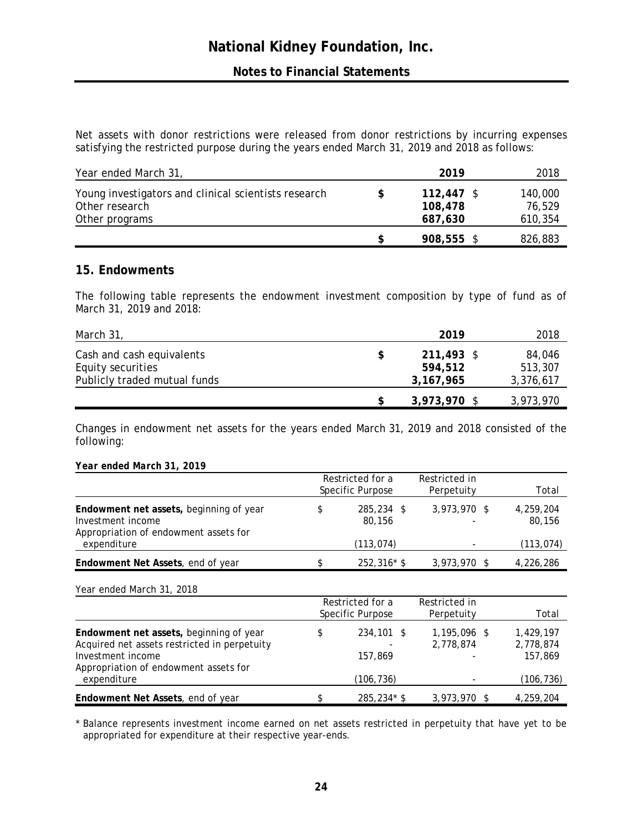# **Notes to Financial Statements**

Net assets with donor restrictions were released from donor restrictions by incurring expenses satisfying the restricted purpose during the years ended March 31, 2019 and 2018 as follows:

| Year ended March 31,                                                                     | 2019                               | 2018                         |
|------------------------------------------------------------------------------------------|------------------------------------|------------------------------|
| Young investigators and clinical scientists research<br>Other research<br>Other programs | $112,447$ \$<br>108,478<br>687,630 | 140,000<br>76,529<br>610,354 |
|                                                                                          | 908,555 \$                         | 826,883                      |

# **15. Endowments**

The following table represents the endowment investment composition by type of fund as of March 31, 2019 and 2018:

| March 31,                                      | 2019                  | 2018              |
|------------------------------------------------|-----------------------|-------------------|
| Cash and cash equivalents<br>Equity securities | 211,493 \$<br>594.512 | 84,046<br>513,307 |
| Publicly traded mutual funds                   | 3,167,965             | 3,376,617         |
|                                                | 3,973,970 \$          | 3,973,970         |

Changes in endowment net assets for the years ended March 31, 2019 and 2018 consisted of the following:

#### *Year ended March 31, 2019*

|                                                                                                       | Restricted for a<br>Specific Purpose | Restricted in<br>Perpetuity              | Total               |
|-------------------------------------------------------------------------------------------------------|--------------------------------------|------------------------------------------|---------------------|
| Endowment net assets, beginning of year<br>Investment income<br>Appropriation of endowment assets for | 285,234 \$<br>80,156                 | 3,973,970 \$<br>$\overline{\phantom{a}}$ | 4.259.204<br>80.156 |
| expenditure                                                                                           | (113, 074)                           |                                          | (113, 074)          |
| Endowment Net Assets, end of year                                                                     | $252,316*$ \$                        | $3,973,970$ \$                           | 4,226,286           |

*Year ended March 31, 2018*

|                                                                                                                                                       | Restricted for a<br>Specific Purpose |                       | Restricted in<br>Perpetuity | Total                             |
|-------------------------------------------------------------------------------------------------------------------------------------------------------|--------------------------------------|-----------------------|-----------------------------|-----------------------------------|
| Endowment net assets, beginning of year<br>Acquired net assets restricted in perpetuity<br>Investment income<br>Appropriation of endowment assets for |                                      | 234,101 \$<br>157.869 | 1,195,096 \$<br>2,778,874   | 1.429.197<br>2,778,874<br>157,869 |
| expenditure                                                                                                                                           |                                      | (106,736)             |                             | (106,736)                         |
| Endowment Net Assets, end of year                                                                                                                     |                                      | $285,234*$ \$         | $3,973,970$ \$              | 4,259,204                         |

\* Balance represents investment income earned on net assets restricted in perpetuity that have yet to be appropriated for expenditure at their respective year-ends.